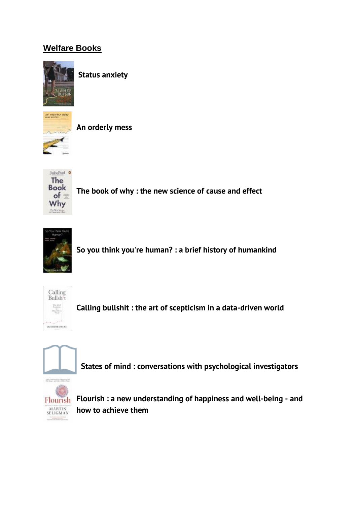## **Welfare Books**



**[Status anxiety](http://solo.bodleian.ox.ac.uk/primo-explore/fulldisplay?docid=oxfaleph015645827&context=L&vid=SOLO&lang=en_US&search_scope=LSCOP_ALL&adaptor=Local%20Search%20Engine&isFrbr=true&tab=local&query=any,contains,Status%20anxiety%20/&sortby=rank&facet=frbrgroupid,include,238676016&offset=0)**



**[An orderly mess](http://solo.bodleian.ox.ac.uk/primo-explore/fulldisplay?docid=oxfaleph021261188&context=L&vid=SOLO&lang=en_US&search_scope=LSCOP_ALL&adaptor=Local%20Search%20Engine&isFrbr=true&tab=local&query=any,contains,An%20orderly%20mess%20/&offset=0)**



**[The book of why : the new science of cause and effect](http://solo.bodleian.ox.ac.uk/primo-explore/fulldisplay?docid=oxfaleph021665453&context=L&vid=SOLO&lang=en_US&search_scope=LSCOP_STX&adaptor=Local%20Search%20Engine&isFrbr=true&tab=local&query=any,contains,The%20book%20of%20why%20:%20the%20new%20science%20of%20cause%20and%20effect&sortby=rank&facet=frbrgroupid,include,387863322&offset=0)**



**[So you think you're human? :](http://solo.bodleian.ox.ac.uk/primo-explore/fulldisplay?docid=oxfaleph016648451&context=L&vid=SOLO&lang=en_US&search_scope=LSCOP_STX&adaptor=Local%20Search%20Engine&isFrbr=true&tab=local&query=any,contains,So%20you%20think%20you%27re%20human?%20:%20a%20brief%20history%20of%20humankind%20/&offset=0) a brief history of humankind**



**[Calling bullshit : the art of scepticism in a data-driven world](http://solo.bodleian.ox.ac.uk/primo-explore/fulldisplay?docid=oxfaleph021995168&context=L&vid=SOLO&lang=en_US&search_scope=LSCOP_STX&adaptor=Local%20Search%20Engine&isFrbr=true&tab=local&query=any,contains,Calling%20bullshit%20:%20the%20art%20of%20scepticism%20in%20a%20data-driven%20world%20/&offset=0)**



**[States of mind : conversations with psychological investigators](http://solo.bodleian.ox.ac.uk/primo-explore/fulldisplay?docid=oxfaleph010774476&context=L&vid=SOLO&lang=en_US&search_scope=LSCOP_STX&adaptor=Local%20Search%20Engine&tab=local&query=any,contains,States%20of%20mind%20:%20conversations%20with%20psychological%20investigators%20/&offset=0)**



**[Flourish : a new understanding of happiness and well-being -](http://solo.bodleian.ox.ac.uk/primo-explore/fulldisplay?docid=oxfaleph017871473&context=L&vid=SOLO&lang=en_US&search_scope=LSCOP_STX&adaptor=Local%20Search%20Engine&tab=local&query=any,contains,Flourish%20:%20a%20new%20understanding%20of%20happiness%20and%20well-being%20-%20and%20how%20to%20achieve%20them%20/&offset=0) and [how to achieve them](http://solo.bodleian.ox.ac.uk/primo-explore/fulldisplay?docid=oxfaleph017871473&context=L&vid=SOLO&lang=en_US&search_scope=LSCOP_STX&adaptor=Local%20Search%20Engine&tab=local&query=any,contains,Flourish%20:%20a%20new%20understanding%20of%20happiness%20and%20well-being%20-%20and%20how%20to%20achieve%20them%20/&offset=0)**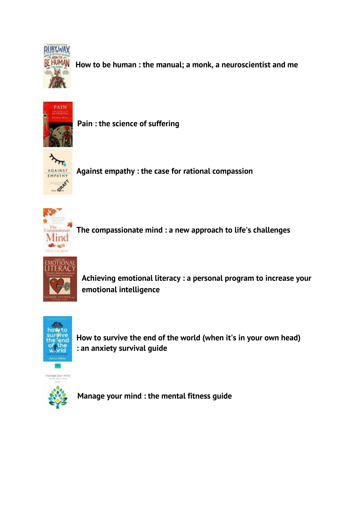

**[How to be human : the manual; a monk, a neuroscientist and me](http://solo.bodleian.ox.ac.uk/primo-explore/fulldisplay?docid=oxfaleph021154156&context=L&vid=SOLO&lang=en_US&search_scope=LSCOP_STX&adaptor=Local%20Search%20Engine&tab=local&query=any,contains,How%20to%20be%20human%20:%20the%20manual;%20a%20monk,%20a%20neuroscientist%20and%20me%20/&offset=0)**



**[Pain : the science of suffering](http://solo.bodleian.ox.ac.uk/primo-explore/fulldisplay?docid=oxfaleph013685712&context=L&vid=SOLO&lang=en_US&search_scope=LSCOP_STX&adaptor=Local%20Search%20Engine&isFrbr=true&tab=local&query=any,contains,Pain%20:%20the%20science%20of%20suffering%20/&offset=0)**



**[Against empathy : the case for rational compassion](http://solo.bodleian.ox.ac.uk/primo-explore/fulldisplay?docid=oxfaleph021088631&context=L&vid=SOLO&lang=en_US&search_scope=LSCOP_STX&adaptor=Local%20Search%20Engine&isFrbr=true&tab=local&query=any,contains,Against%20empathy%20:%20the%20case%20for%20rational%20compassion%20/&offset=0)**



**[The compassionate mind : a new approach to life's challenges](http://solo.bodleian.ox.ac.uk/primo-explore/fulldisplay?docid=oxfaleph021139283&context=L&vid=SOLO&lang=en_US&search_scope=LSCOP_STX&adaptor=Local%20Search%20Engine&isFrbr=true&tab=local&query=any,contains,The%20compassionate%20mind%20:%20a%20new%20approach%20to%20life%27s%20challenges%20/&offset=0)**



**[Achieving emotional literacy : a personal program to increase your](http://solo.bodleian.ox.ac.uk/primo-explore/fulldisplay?docid=oxfaleph013409870&context=L&vid=SOLO&lang=en_US&search_scope=LSCOP_STX&adaptor=Local%20Search%20Engine&tab=local&query=any,contains,Achieving%20emotional%20literacy%20:%20a%20personal%20program%20to%20increase%20your%20emotional%20intelligence%20/&offset=0)  [emotional intelligence](http://solo.bodleian.ox.ac.uk/primo-explore/fulldisplay?docid=oxfaleph013409870&context=L&vid=SOLO&lang=en_US&search_scope=LSCOP_STX&adaptor=Local%20Search%20Engine&tab=local&query=any,contains,Achieving%20emotional%20literacy%20:%20a%20personal%20program%20to%20increase%20your%20emotional%20intelligence%20/&offset=0)**



**[How to survive the end of the world](http://solo.bodleian.ox.ac.uk/primo-explore/fulldisplay?docid=oxfaleph021816753&context=L&vid=SOLO&lang=en_US&search_scope=LSCOP_STX&adaptor=Local%20Search%20Engine&isFrbr=true&tab=local&query=any,contains,How%20to%20survive%20the%20end%20of%20the%20world%20(when%20it%27s%20in%20your%20own%20head)%20:%20an%20anxiety%20survival%20guide%20/&offset=0) (when it's in your own head) : [an anxiety survival guide](http://solo.bodleian.ox.ac.uk/primo-explore/fulldisplay?docid=oxfaleph021816753&context=L&vid=SOLO&lang=en_US&search_scope=LSCOP_STX&adaptor=Local%20Search%20Engine&isFrbr=true&tab=local&query=any,contains,How%20to%20survive%20the%20end%20of%20the%20world%20(when%20it%27s%20in%20your%20own%20head)%20:%20an%20anxiety%20survival%20guide%20/&offset=0)**



**[Manage your mind : the mental fitness guide](http://solo.bodleian.ox.ac.uk/primo-explore/fulldisplay?docid=oxfaleph021083708&context=L&vid=SOLO&lang=en_US&search_scope=LSCOP_STX&adaptor=Local%20Search%20Engine&isFrbr=true&tab=local&query=any,contains,Manage%20your%20mind%20:%20the%20mental%20fitness%20guide%20/&sortby=rank&facet=frbrgroupid,include,235290083&offset=0)**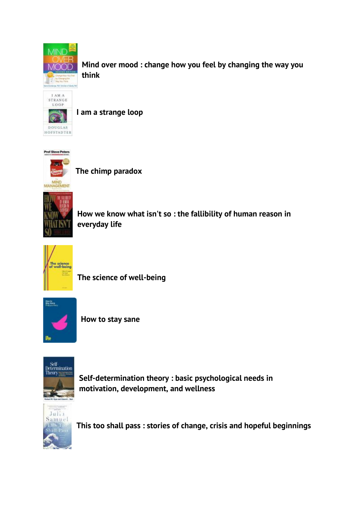

**[Mind over mood : change how you feel by changing the way you](http://solo.bodleian.ox.ac.uk/primo-explore/fulldisplay?docid=oxfaleph020615274&context=L&vid=SOLO&lang=en_US&search_scope=LSCOP_STX&adaptor=Local%20Search%20Engine&isFrbr=true&tab=local&query=any,contains,Mind%20over%20mood%20:%20change%20how%20you%20feel%20by%20changing%20the%20way%20you%20think%20/&sortby=rank&facet=frbrgroupid,include,237253585&offset=0)  [think](http://solo.bodleian.ox.ac.uk/primo-explore/fulldisplay?docid=oxfaleph020615274&context=L&vid=SOLO&lang=en_US&search_scope=LSCOP_STX&adaptor=Local%20Search%20Engine&isFrbr=true&tab=local&query=any,contains,Mind%20over%20mood%20:%20change%20how%20you%20feel%20by%20changing%20the%20way%20you%20think%20/&sortby=rank&facet=frbrgroupid,include,237253585&offset=0)**



**[I am a strange loop](http://solo.bodleian.ox.ac.uk/primo-explore/fulldisplay?docid=oxfaleph016256270&context=L&vid=SOLO&lang=en_US&search_scope=LSCOP_STX&adaptor=Local%20Search%20Engine&tab=local&query=any,contains,I%20am%20a%20strange%20loop%20/&offset=0)**



**[The chimp paradox](http://solo.bodleian.ox.ac.uk/primo-explore/fulldisplay?docid=oxfaleph020332303&context=L&vid=SOLO&lang=en_US&search_scope=LSCOP_STX&adaptor=Local%20Search%20Engine&isFrbr=true&tab=local&query=any,contains,The%20chimp%20paradox%20/&offset=0)**



**How we know what isn't so : [the fallibility of human reason in](http://solo.bodleian.ox.ac.uk/primo-explore/fulldisplay?docid=oxfaleph013727530&context=L&vid=SOLO&lang=en_US&search_scope=LSCOP_STX&adaptor=Local%20Search%20Engine&tab=local&query=any,contains,How%20we%20know%20what%20isn%27t%20so%20:%20the%20fallibility%20of%20human%20reason%20in%20everyday%20life%20/&offset=0)  [everyday life](http://solo.bodleian.ox.ac.uk/primo-explore/fulldisplay?docid=oxfaleph013727530&context=L&vid=SOLO&lang=en_US&search_scope=LSCOP_STX&adaptor=Local%20Search%20Engine&tab=local&query=any,contains,How%20we%20know%20what%20isn%27t%20so%20:%20the%20fallibility%20of%20human%20reason%20in%20everyday%20life%20/&offset=0)**



**[The science of well-being](http://solo.bodleian.ox.ac.uk/primo-explore/fulldisplay?docid=oxfaleph015983517&context=L&vid=SOLO&lang=en_US&search_scope=LSCOP_STX&adaptor=Local%20Search%20Engine&isFrbr=true&tab=local&query=any,contains,The%20science%20of%20well-being%20/&sortby=rank&facet=frbrgroupid,include,238949135&offset=0)**



**[How to stay sane](http://solo.bodleian.ox.ac.uk/primo-explore/fulldisplay?docid=oxfaleph019311384&context=L&vid=SOLO&lang=en_US&search_scope=LSCOP_STX&adaptor=Local%20Search%20Engine&isFrbr=true&tab=local&query=any,contains,How%20to%20stay%20sane%20/&offset=0)**



**[Self-determination theory : basic psychological needs in](http://solo.bodleian.ox.ac.uk/primo-explore/fulldisplay?docid=oxfaleph021046209&context=L&vid=SOLO&lang=en_US&search_scope=LSCOP_STX&adaptor=Local%20Search%20Engine&tab=local&query=any,contains,Self-determination%20theory%20:%20basic%20psychological%20needs%20in%20motivation,%20development,%20and%20wellness%20/&offset=0)  [motivation, development, and wellness](http://solo.bodleian.ox.ac.uk/primo-explore/fulldisplay?docid=oxfaleph021046209&context=L&vid=SOLO&lang=en_US&search_scope=LSCOP_STX&adaptor=Local%20Search%20Engine&tab=local&query=any,contains,Self-determination%20theory%20:%20basic%20psychological%20needs%20in%20motivation,%20development,%20and%20wellness%20/&offset=0)**



**[This too shall pass : stories of change, crisis and hopeful beginnings](http://solo.bodleian.ox.ac.uk/primo-explore/fulldisplay?docid=oxfaleph021936747&context=L&vid=SOLO&lang=en_US&search_scope=LSCOP_STX&adaptor=Local%20Search%20Engine&isFrbr=true&tab=local&query=any,contains,This%20too%20shall%20pass%20:%20stories%20of%20change,%20crisis%20and%20hopeful%20beginnings&offset=0)**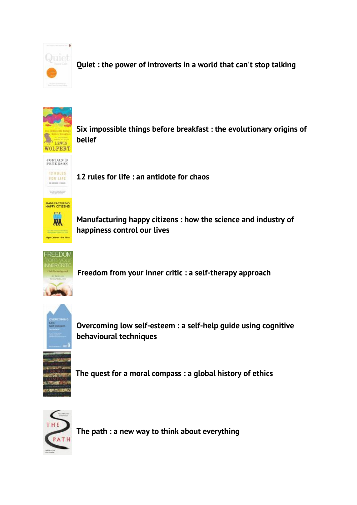

**Quiet [: the power of introverts in a world that can't stop talking](http://solo.bodleian.ox.ac.uk/primo-explore/fulldisplay?docid=oxfaleph019436410&context=L&vid=SOLO&lang=en_US&search_scope=LSCOP_ALL&adaptor=Local%20Search%20Engine&isFrbr=true&tab=local&query=any,contains,Quiet%20susan%20cain&sortby=rank&facet=frbrgroupid,include,241102966&offset=0)**



**[Six impossible things before breakfast : the evolutionary origins of](http://solo.bodleian.ox.ac.uk/primo-explore/fulldisplay?docid=oxfaleph016093304&context=L&vid=SOLO&lang=en_US&search_scope=LSCOP_ALL&adaptor=Local%20Search%20Engine&isFrbr=true&tab=local&query=any,contains,Six%20impossible%20things%20before%20breakfast%20:%20the%20evolutionary%20origins%20of%20belief%20/&sortby=rank&facet=frbrgroupid,include,239049228&offset=0)  [belief](http://solo.bodleian.ox.ac.uk/primo-explore/fulldisplay?docid=oxfaleph016093304&context=L&vid=SOLO&lang=en_US&search_scope=LSCOP_ALL&adaptor=Local%20Search%20Engine&isFrbr=true&tab=local&query=any,contains,Six%20impossible%20things%20before%20breakfast%20:%20the%20evolutionary%20origins%20of%20belief%20/&sortby=rank&facet=frbrgroupid,include,239049228&offset=0)**

**JORDAN B**<br>PETERSON 12 RULES FOR LIFE

**[12 rules for life : an antidote for chaos](http://solo.bodleian.ox.ac.uk/primo-explore/fulldisplay?docid=oxfaleph021111641&context=L&vid=SOLO&lang=en_US&search_scope=LSCOP_ALL&adaptor=Local%20Search%20Engine&tab=local&query=any,contains,12%20rules%20for%20life%20:%20an%20antidote%20for%20chaos%20/&offset=0)**

MANUFACTURING<br>HAPPY CITIZENS as a  $\overline{M}$ And the Entrepreneur State and .<br>Mga Calengo Pre No.

**[Manufacturing happy citizens : how the science and industry of](http://solo.bodleian.ox.ac.uk/primo-explore/fulldisplay?docid=oxfaleph021638093&context=L&vid=SOLO&lang=en_US&search_scope=LSCOP_ALL&adaptor=Local%20Search%20Engine&tab=local&query=any,contains,Manufacturing%20happy%20citizens%20:%20how%20the%20science%20and%20industry%20of%20happiness%20control%20our%20lives%20/&offset=0)  [happiness control our lives](http://solo.bodleian.ox.ac.uk/primo-explore/fulldisplay?docid=oxfaleph021638093&context=L&vid=SOLO&lang=en_US&search_scope=LSCOP_ALL&adaptor=Local%20Search%20Engine&tab=local&query=any,contains,Manufacturing%20happy%20citizens%20:%20how%20the%20science%20and%20industry%20of%20happiness%20control%20our%20lives%20/&offset=0)**



**[Freedom from your inner critic : a self-therapy approach](http://solo.bodleian.ox.ac.uk/primo-explore/fulldisplay?docid=oxfaleph021630853&context=L&vid=SOLO&lang=en_US&search_scope=LSCOP_ALL&adaptor=Local%20Search%20Engine&tab=local&query=any,contains,Freedom%20from%20your%20inner%20critic%20:%20a%20self-therapy%20approach%20/&offset=0)**



**[Overcoming low self-esteem : a self-help guide using cognitive](http://solo.bodleian.ox.ac.uk/primo-explore/fulldisplay?docid=oxfaleph020719269&context=L&vid=SOLO&lang=en_US&search_scope=LSCOP_ALL&adaptor=Local%20Search%20Engine&tab=local&query=any,contains,Overcoming%20low%20self-esteem%20:%20a%20self-help%20guide%20using%20cognitive%20behavioural%20techniques%20/&offset=0)  [behavioural techniques](http://solo.bodleian.ox.ac.uk/primo-explore/fulldisplay?docid=oxfaleph020719269&context=L&vid=SOLO&lang=en_US&search_scope=LSCOP_ALL&adaptor=Local%20Search%20Engine&tab=local&query=any,contains,Overcoming%20low%20self-esteem%20:%20a%20self-help%20guide%20using%20cognitive%20behavioural%20techniques%20/&offset=0)**



**[The quest for a moral compass : a global history of ethics](http://solo.bodleian.ox.ac.uk/primo-explore/fulldisplay?docid=oxfaleph019695307&context=L&vid=SOLO&lang=en_US&search_scope=LSCOP_ALL&adaptor=Local%20Search%20Engine&isFrbr=true&tab=local&query=any,contains,The%20quest%20for%20a%20moral%20compass%20:%20a%20global%20history%20of%20ethics%20/&sortby=rank&facet=frbrgroupid,include,265255306&offset=0)**



**[The path : a new way to think about everything](http://solo.bodleian.ox.ac.uk/primo-explore/fulldisplay?docid=oxfaleph020541210&context=L&vid=SOLO&lang=en_US&search_scope=LSCOP_ALL&adaptor=Local%20Search%20Engine&isFrbr=true&tab=local&query=any,contains,The%20path%20:%20a%20new%20way%20to%20think%20about%20everything%20/&sortby=rank&facet=frbrgroupid,include,455934203&offset=0)**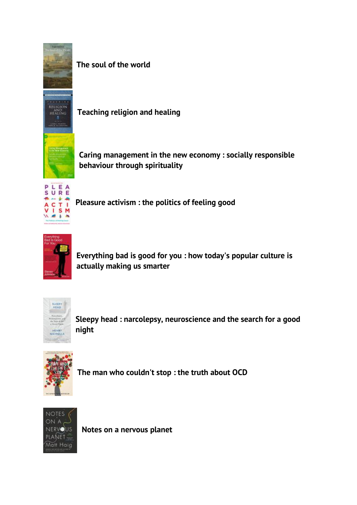

**[The soul of the world](http://solo.bodleian.ox.ac.uk/primo-explore/fulldisplay?docid=oxfaleph019683600&context=L&vid=SOLO&lang=en_US&search_scope=LSCOP_ALL&adaptor=Local%20Search%20Engine&isFrbr=true&tab=local&query=any,contains,The%20soul%20of%20the%20world%20/&sortby=rank&facet=frbrgroupid,include,255096858&offset=0)**



**[Teaching religion and healing](http://solo.bodleian.ox.ac.uk/primo-explore/fulldisplay?docid=oxfaleph016124553&context=L&vid=SOLO&lang=en_US&search_scope=LSCOP_ALL&adaptor=Local%20Search%20Engine&isFrbr=true&tab=local&query=any,contains,Teaching%20religion%20and%20healing%20/&sortby=rank&facet=frbrgroupid,include,239080136&offset=0)**

**[Caring management in the new economy : socially responsible](http://solo.bodleian.ox.ac.uk/primo-explore/fulldisplay?docid=oxfaleph022321088&context=L&vid=SOLO&lang=en_US&search_scope=LSCOP_ALL&adaptor=Local%20Search%20Engine&isFrbr=true&tab=local&query=any,contains,Caring%20management%20in%20the%20new%20economy%20:%20socially%20responsible%20behaviour%20through%20spirituality%20/&sortby=rank&facet=frbrgroupid,include,433169169&offset=0)  [behaviour through spirituality](http://solo.bodleian.ox.ac.uk/primo-explore/fulldisplay?docid=oxfaleph022321088&context=L&vid=SOLO&lang=en_US&search_scope=LSCOP_ALL&adaptor=Local%20Search%20Engine&isFrbr=true&tab=local&query=any,contains,Caring%20management%20in%20the%20new%20economy%20:%20socially%20responsible%20behaviour%20through%20spirituality%20/&sortby=rank&facet=frbrgroupid,include,433169169&offset=0)**



**[Pleasure activism : the politics of feeling good](http://solo.bodleian.ox.ac.uk/primo-explore/fulldisplay?docid=oxfaleph022320734&context=L&vid=SOLO&lang=en_US&search_scope=LSCOP_ALL&adaptor=Local%20Search%20Engine&tab=local&query=any,contains,Pleasure%20activism%20:%20the%20politics%20of%20feeling%20good%20/&offset=0)**



**Everything bad is good for you : [how today's popular culture is](http://solo.bodleian.ox.ac.uk/primo-explore/fulldisplay?docid=oxfaleph015988226&context=L&vid=SOLO&lang=en_US&search_scope=LSCOP_ALL&adaptor=Local%20Search%20Engine&tab=local&query=any,contains,Everything%20bad%20is%20good%20for%20you%20:%20how%20today%27s%20popular%20culture%20is%20actually%20making%20us%20smarter%20/&offset=0)  [actually making us smarter](http://solo.bodleian.ox.ac.uk/primo-explore/fulldisplay?docid=oxfaleph015988226&context=L&vid=SOLO&lang=en_US&search_scope=LSCOP_ALL&adaptor=Local%20Search%20Engine&tab=local&query=any,contains,Everything%20bad%20is%20good%20for%20you%20:%20how%20today%27s%20popular%20culture%20is%20actually%20making%20us%20smarter%20/&offset=0)**



**[Sleepy head : narcolepsy, neuroscience and the search for a good](http://solo.bodleian.ox.ac.uk/primo-explore/fulldisplay?docid=oxfaleph021131059&context=L&vid=SOLO&lang=en_US&search_scope=LSCOP_ALL&adaptor=Local%20Search%20Engine&tab=local&query=any,contains,Sleepy%20head%20:%20narcolepsy,%20neuroscience%20and%20the%20search%20for%20a%20good%20night%20/&offset=0)  [night](http://solo.bodleian.ox.ac.uk/primo-explore/fulldisplay?docid=oxfaleph021131059&context=L&vid=SOLO&lang=en_US&search_scope=LSCOP_ALL&adaptor=Local%20Search%20Engine&tab=local&query=any,contains,Sleepy%20head%20:%20narcolepsy,%20neuroscience%20and%20the%20search%20for%20a%20good%20night%20/&offset=0)**



**[The man who couldn't stop](http://solo.bodleian.ox.ac.uk/primo-explore/fulldisplay?docid=oxfaleph020155087&context=L&vid=SOLO&lang=en_US&search_scope=LSCOP_ALL&adaptor=Local%20Search%20Engine&tab=local&query=any,contains,The%20man%20who%20couldn%27t%20stop%20:%20the%20truth%20about%20OCD%20/&offset=0) : the truth about OCD**



**[Notes on a nervous planet](http://solo.bodleian.ox.ac.uk/primo-explore/fulldisplay?docid=oxfaleph021300126&context=L&vid=SOLO&lang=en_US&search_scope=LSCOP_ALL&adaptor=Local%20Search%20Engine&isFrbr=true&tab=local&query=any,contains,Notes%20on%20a%20nervous%20planet%20/&sortby=rank&facet=frbrgroupid,include,389710423&offset=0)**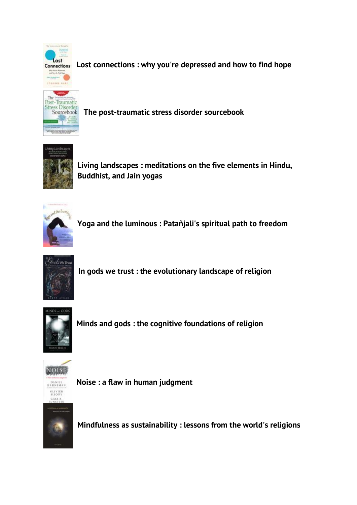

**Lost connections : [why you're depressed and how to find hope](http://solo.bodleian.ox.ac.uk/primo-explore/fulldisplay?docid=oxfaleph021869018&context=L&vid=SOLO&lang=en_US&search_scope=LSCOP_ALL&adaptor=Local%20Search%20Engine&tab=local&query=any,contains,Lost%20connections%20:%20why%20you%27re%20depressed%20and%20how%20to%20find%20hope%20/&offset=0)**



**[The post-traumatic stress disorder sourcebook](http://solo.bodleian.ox.ac.uk/primo-explore/fulldisplay?docid=oxfaleph021413397&context=L&vid=SOLO&lang=en_US&search_scope=LSCOP_ALL&adaptor=Local%20Search%20Engine&tab=local&query=any,contains,The%20post-traumatic%20stress%20disorder%20sourcebook%20/&offset=0)**



**[Living landscapes : meditations on the five elements in Hindu,](http://solo.bodleian.ox.ac.uk/primo-explore/fulldisplay?docid=oxfaleph022321070&context=L&vid=SOLO&lang=en_US&search_scope=LSCOP_STX&adaptor=Local%20Search%20Engine&tab=local&query=any,contains,yoga&facet=tlevel,include,physical_item&offset=0)  [Buddhist, and Jain yogas](http://solo.bodleian.ox.ac.uk/primo-explore/fulldisplay?docid=oxfaleph022321070&context=L&vid=SOLO&lang=en_US&search_scope=LSCOP_STX&adaptor=Local%20Search%20Engine&tab=local&query=any,contains,yoga&facet=tlevel,include,physical_item&offset=0)**



**Yoga [and the luminous : Patañjali's spiritual path to freedom](http://solo.bodleian.ox.ac.uk/primo-explore/fulldisplay?docid=oxfaleph022321091&context=L&vid=SOLO&lang=en_US&search_scope=LSCOP_STX&adaptor=Local%20Search%20Engine&tab=local&query=any,contains,yoga&facet=tlevel,include,physical_item&offset=0)**



**[In gods we trust : the evolutionary landscape of religion](http://solo.bodleian.ox.ac.uk/primo-explore/fulldisplay?docid=oxfaleph015451641&context=L&vid=SOLO&lang=en_US&search_scope=LSCOP_ALL&adaptor=Local%20Search%20Engine&isFrbr=true&tab=local&query=any,contains,In%20gods%20we%20trust%20:%20the%20evolutionary%20landscape%20of%20religion%20/&sortby=rank&facet=frbrgroupid,include,238493237&offset=0)**



**[Minds and gods : the cognitive foundations of religion](http://solo.bodleian.ox.ac.uk/primo-explore/fulldisplay?docid=oxfaleph016034261&context=L&vid=SOLO&lang=en_US&search_scope=LSCOP_ALL&adaptor=Local%20Search%20Engine&isFrbr=true&tab=local&query=any,contains,Minds%20and%20gods%20:%20the%20cognitive%20foundations%20of%20religion%20/&sortby=rank&facet=frbrgroupid,include,238997076&offset=0)**



**[Noise : a flaw in human judgment](https://solo.bodleian.ox.ac.uk/primo-explore/fulldisplay?docid=oxfaleph022545741&context=L&vid=SOLO&lang=en_US&tab=local&query=any,contains,noise&facet=library,include,STXCL&offset=0)**

**Mindfulness as sustainability [: lessons from the world's religions](https://solo.bodleian.ox.ac.uk/primo-explore/fulldisplay?docid=oxfaleph022578406&context=L&vid=SOLO&lang=en_US&search_scope=LSCOP_ALL&adaptor=Local%20Search%20Engine&tab=local&query=any,contains,Mindfulness%20as%20sustainability&offset=0)**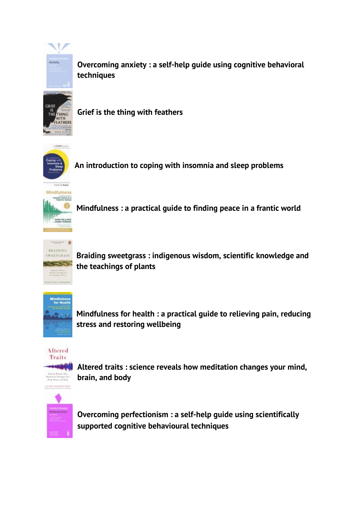

**Overcoming anxiety [: a self-help guide using cognitive behavioral](https://solo.bodleian.ox.ac.uk/primo-explore/fulldisplay?docid=oxfaleph019702740&context=L&vid=SOLO&lang=en_US&search_scope=LSCOP_STX&adaptor=Local%20Search%20Engine&isFrbr=true&tab=local&query=any,contains,Overcoming%20Anxiety&offset=0)  [techniques](https://solo.bodleian.ox.ac.uk/primo-explore/fulldisplay?docid=oxfaleph019702740&context=L&vid=SOLO&lang=en_US&search_scope=LSCOP_STX&adaptor=Local%20Search%20Engine&isFrbr=true&tab=local&query=any,contains,Overcoming%20Anxiety&offset=0)**

**[Grief is the thing with feathers](https://solo.bodleian.ox.ac.uk/primo-explore/fulldisplay?docid=oxfaleph020767515&context=L&vid=SOLO&lang=en_US&search_scope=LSCOP_ALL&adaptor=Local%20Search%20Engine&isFrbr=true&tab=local&query=any,contains,Grief%20is%20the%20thing%20with%20feathers%20/&sortby=rank&facet=frbrgroupid,include,313600212&offset=0)**



**[An introduction to coping with insomnia and sleep problems](https://solo.bodleian.ox.ac.uk/primo-explore/fulldisplay?docid=oxfaleph021881623&context=L&vid=SOLO&lang=en_US&search_scope=LSCOP_ALL&adaptor=Local%20Search%20Engine&isFrbr=true&tab=local&query=any,contains,An%20Introduction%20to%20Coping%20With%20Insomnia%20and%20Sleep%20Problems&sortby=rank&facet=frbrgroupid,include,240510838&offset=0)**



**Mindfulness [: a practical guide to finding peace in a frantic world](https://solo.bodleian.ox.ac.uk/primo-explore/fulldisplay?docid=oxfaleph017805013&context=L&vid=SOLO&lang=en_US&search_scope=LSCOP_ALL&adaptor=Local%20Search%20Engine&tab=local&query=any,contains,Mindfulness%20J.%20Mark%20G.%20Williams,%20Danny%20Penman&offset=0)**



**[Braiding sweetgrass : indigenous wisdom, scientific knowledge and](https://solo.bodleian.ox.ac.uk/primo-explore/fulldisplay?docid=oxfaleph022077349&context=L&vid=SOLO&lang=en_US&search_scope=LSCOP_ALL&adaptor=Local%20Search%20Engine&isFrbr=true&tab=local&query=any,contains,Braiding%20sweetgrass%20:%20indigenous%20wisdom,%20scientific%20knowledge%20and%20the%20teachings%20of%20plants%20/&sortby=rank&facet=frbrgroupid,include,338498530&offset=0)  [the teachings of plants](https://solo.bodleian.ox.ac.uk/primo-explore/fulldisplay?docid=oxfaleph022077349&context=L&vid=SOLO&lang=en_US&search_scope=LSCOP_ALL&adaptor=Local%20Search%20Engine&isFrbr=true&tab=local&query=any,contains,Braiding%20sweetgrass%20:%20indigenous%20wisdom,%20scientific%20knowledge%20and%20the%20teachings%20of%20plants%20/&sortby=rank&facet=frbrgroupid,include,338498530&offset=0)**



**Mindfulness for health [: a practical guide to relieving pain, reducing](https://solo.bodleian.ox.ac.uk/primo-explore/fulldisplay?docid=oxfaleph019564745&context=L&vid=SOLO&lang=en_US&search_scope=LSCOP_ALL&adaptor=Local%20Search%20Engine&isFrbr=true&tab=local&query=any,contains,Mindfulness%20for%20Health&sortby=rank&facet=frbrgroupid,include,241867807&offset=0)  [stress and restoring wellbeing](https://solo.bodleian.ox.ac.uk/primo-explore/fulldisplay?docid=oxfaleph019564745&context=L&vid=SOLO&lang=en_US&search_scope=LSCOP_ALL&adaptor=Local%20Search%20Engine&isFrbr=true&tab=local&query=any,contains,Mindfulness%20for%20Health&sortby=rank&facet=frbrgroupid,include,241867807&offset=0)**



**Altered traits [: science reveals how meditation changes your mind,](https://solo.bodleian.ox.ac.uk/primo-explore/fulldisplay?docid=oxfaleph022600692&context=L&vid=SOLO&lang=en_US&search_scope=LSCOP_ALL&adaptor=Local%20Search%20Engine&isFrbr=true&tab=local&query=any,contains,Altered%20Traits&sortby=rank&facet=frbrgroupid,include,372638673&offset=0)  [brain, and body](https://solo.bodleian.ox.ac.uk/primo-explore/fulldisplay?docid=oxfaleph022600692&context=L&vid=SOLO&lang=en_US&search_scope=LSCOP_ALL&adaptor=Local%20Search%20Engine&isFrbr=true&tab=local&query=any,contains,Altered%20Traits&sortby=rank&facet=frbrgroupid,include,372638673&offset=0)**



**Overcoming perfectionism [: a self-help guide using scientifically](https://solo.bodleian.ox.ac.uk/primo-explore/fulldisplay?docid=oxfaleph021224378&context=L&vid=SOLO&lang=en_US&search_scope=LSCOP_ALL&adaptor=Local%20Search%20Engine&tab=local&query=any,contains,overcoming%20perfectionism&offset=0)  [supported cognitive behavioural techniques](https://solo.bodleian.ox.ac.uk/primo-explore/fulldisplay?docid=oxfaleph021224378&context=L&vid=SOLO&lang=en_US&search_scope=LSCOP_ALL&adaptor=Local%20Search%20Engine&tab=local&query=any,contains,overcoming%20perfectionism&offset=0)**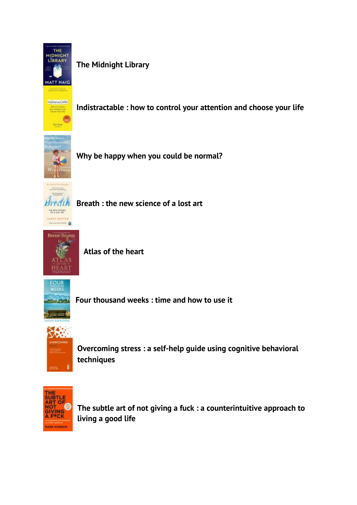

**[The Midnight Library](https://solo.bodleian.ox.ac.uk/primo-explore/fulldisplay?docid=oxfaleph022533566&context=L&vid=SOLO&lang=en_US&search_scope=LSCOP_STX&adaptor=Local%20Search%20Engine&isFrbr=true&tab=local&query=any,contains,The%20Midnight%20Library&offset=0)**



**Indistractable [: how to control your attention and choose your life](https://solo.bodleian.ox.ac.uk/primo-explore/fulldisplay?docid=oxfaleph022643208&context=L&vid=SOLO&lang=en_US&search_scope=LSCOP_STX&adaptor=Local%20Search%20Engine&isFrbr=true&tab=local&query=any,contains,Indistractable&offset=0)**



**[Why be happy when you](https://solo.bodleian.ox.ac.uk/primo-explore/fulldisplay?docid=oxfaleph019298283&context=L&vid=SOLO&lang=en_US&search_scope=LSCOP_ALL&adaptor=Local%20Search%20Engine&isFrbr=true&tab=local&query=any,contains,Why%20be%20happy%20when%20you%20can%20be%20normal&sortby=rank&facet=frbrgroupid,include,240717165&offset=0) could be normal?**

THE NEW SCRIMER JAMES HESTOS  $-1$ 

**Breath [: the new science of a lost art](https://solo.bodleian.ox.ac.uk/primo-explore/fulldisplay?docid=oxfaleph022658136&context=L&vid=SOLO&lang=en_US&search_scope=LSCOP_STX&adaptor=Local%20Search%20Engine&tab=local&query=any,contains,Breath&facet=tlevel,include,physical_item&offset=0)**



**[Atlas of the heart](https://solo.bodleian.ox.ac.uk/primo-explore/fulldisplay?docid=oxfaleph022725372&context=L&vid=SOLO&lang=en_US&search_scope=LSCOP_STX&adaptor=Local%20Search%20Engine&tab=local&query=any,contains,Atlas%20of%20the%20heart&offset=0)**



**Four thousand weeks [: time and how to use it](https://solo.bodleian.ox.ac.uk/primo-explore/fulldisplay?docid=oxfaleph022644932&context=L&vid=SOLO&lang=en_US&search_scope=LSCOP_ALL&adaptor=Local%20Search%20Engine&isFrbr=true&tab=local&query=any,contains,four%20thousand%20weeks&sortby=rank&facet=frbrgroupid,include,512611070&offset=0)**



**Overcoming stress [: a self-help guide using cognitive behavioral](https://solo.bodleian.ox.ac.uk/primo-explore/fulldisplay?docid=oxfaleph017113366&context=L&vid=SOLO&lang=en_US&search_scope=LSCOP_STX&adaptor=Local%20Search%20Engine&tab=local&query=any,contains,Overcoming%20Stress&offset=0)  [techniques](https://solo.bodleian.ox.ac.uk/primo-explore/fulldisplay?docid=oxfaleph017113366&context=L&vid=SOLO&lang=en_US&search_scope=LSCOP_STX&adaptor=Local%20Search%20Engine&tab=local&query=any,contains,Overcoming%20Stress&offset=0)**



**The subtle art of not giving a [fuck : a counterintuitive approach to](https://solo.bodleian.ox.ac.uk/primo-explore/fulldisplay?docid=oxfaleph021480171&context=L&vid=SOLO&lang=en_US&search_scope=LSCOP_STX&adaptor=Local%20Search%20Engine&tab=local&query=any,contains,The%20Subtle%20Art%20of%20Not%20Giving%20A%20F*ck&offset=0)  [living a good life](https://solo.bodleian.ox.ac.uk/primo-explore/fulldisplay?docid=oxfaleph021480171&context=L&vid=SOLO&lang=en_US&search_scope=LSCOP_STX&adaptor=Local%20Search%20Engine&tab=local&query=any,contains,The%20Subtle%20Art%20of%20Not%20Giving%20A%20F*ck&offset=0)**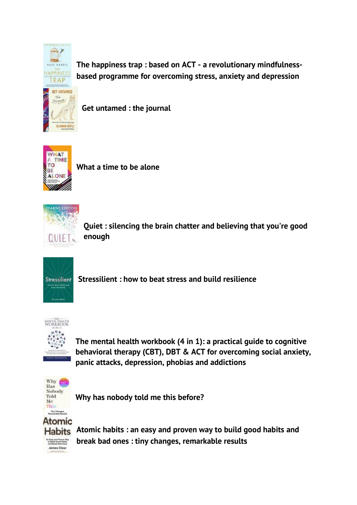

**The happiness trap : based on ACT - [a revolutionary mindfulness](https://solo.bodleian.ox.ac.uk/primo-explore/fulldisplay?docid=oxfaleph017153582&context=L&vid=SOLO&lang=en_US&search_scope=LSCOP_STX&adaptor=Local%20Search%20Engine&isFrbr=true&tab=local&query=any,contains,The%20Happiness%20Trap&offset=0)[based programme for overcoming stress, anxiety and depression](https://solo.bodleian.ox.ac.uk/primo-explore/fulldisplay?docid=oxfaleph017153582&context=L&vid=SOLO&lang=en_US&search_scope=LSCOP_STX&adaptor=Local%20Search%20Engine&isFrbr=true&tab=local&query=any,contains,The%20Happiness%20Trap&offset=0)**

**[Get untamed](https://solo.bodleian.ox.ac.uk/primo-explore/fulldisplay?docid=oxfaleph022761418&context=L&vid=SOLO&lang=en_US&search_scope=LSCOP_STX&adaptor=Local%20Search%20Engine&tab=local&query=any,contains,Get%20Untamed&offset=0) : the journal**



**[What a time to be alone](https://solo.bodleian.ox.ac.uk/primo-explore/fulldisplay?docid=oxfaleph021246781&context=L&vid=SOLO&lang=en_US&search_scope=LSCOP_STX&adaptor=Local%20Search%20Engine&tab=local&query=any,contains,What%20a%20Time%20to%20Be%20Alone&offset=0)**



**Quiet : silencing the [brain chatter and believing that you're good](https://solo.bodleian.ox.ac.uk/primo-explore/fulldisplay?docid=oxfaleph021429521&context=L&vid=SOLO&lang=en_US&search_scope=LSCOP_STX&adaptor=Local%20Search%20Engine&tab=local&query=any,contains,Fearne%20Cotton%20Quiet&offset=0)  [enough](https://solo.bodleian.ox.ac.uk/primo-explore/fulldisplay?docid=oxfaleph021429521&context=L&vid=SOLO&lang=en_US&search_scope=LSCOP_STX&adaptor=Local%20Search%20Engine&tab=local&query=any,contains,Fearne%20Cotton%20Quiet&offset=0)**



**Stressilient [: how to beat stress and build resilience](https://solo.bodleian.ox.ac.uk/primo-explore/fulldisplay?docid=oxfaleph022761416&context=L&vid=SOLO&lang=en_US&search_scope=LSCOP_ALL&adaptor=Local%20Search%20Engine&tab=local&query=any,contains,Stressilient&offset=0)**



**[The mental health workbook \(4 in 1\): a practical guide to cognitive](https://solo.bodleian.ox.ac.uk/primo-explore/fulldisplay?docid=oxfaleph022761415&context=L&vid=SOLO&lang=en_US&tab=local&query=any,contains,The%20Mental%20Health%20Workbook%20:%20A%20Practical%20Guide%20To%20Cognitive%20Behavioral%20Therapy%20(CBT),%20DBT%20&offset=0)  [behavioral therapy \(CBT\), DBT & ACT for overcoming social anxiety,](https://solo.bodleian.ox.ac.uk/primo-explore/fulldisplay?docid=oxfaleph022761415&context=L&vid=SOLO&lang=en_US&tab=local&query=any,contains,The%20Mental%20Health%20Workbook%20:%20A%20Practical%20Guide%20To%20Cognitive%20Behavioral%20Therapy%20(CBT),%20DBT%20&offset=0)  [panic attacks, depression, phobias and addictions](https://solo.bodleian.ox.ac.uk/primo-explore/fulldisplay?docid=oxfaleph022761415&context=L&vid=SOLO&lang=en_US&tab=local&query=any,contains,The%20Mental%20Health%20Workbook%20:%20A%20Practical%20Guide%20To%20Cognitive%20Behavioral%20Therapy%20(CBT),%20DBT%20&offset=0)**



**[Why has nobody told me this before?](https://solo.bodleian.ox.ac.uk/primo-explore/fulldisplay?docid=oxfaleph022754666&context=L&vid=SOLO&lang=en_US&search_scope=LSCOP_STX&adaptor=Local%20Search%20Engine&isFrbr=true&tab=local&query=any,contains,Why%20Has%20Nobody%20Told%20Me%20This%20Before?&offset=0)**



**Atomic habits [: an easy and proven way to build good](https://solo.bodleian.ox.ac.uk/primo-explore/fulldisplay?docid=oxfaleph021732137&context=L&vid=SOLO&lang=en_US&search_scope=LSCOP_STX&adaptor=Local%20Search%20Engine&tab=local&query=any,contains,Atomic%20Habits&offset=0) habits and [break bad ones : tiny changes, remarkable results](https://solo.bodleian.ox.ac.uk/primo-explore/fulldisplay?docid=oxfaleph021732137&context=L&vid=SOLO&lang=en_US&search_scope=LSCOP_STX&adaptor=Local%20Search%20Engine&tab=local&query=any,contains,Atomic%20Habits&offset=0)**